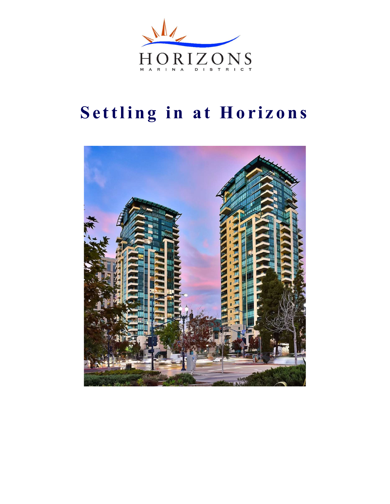

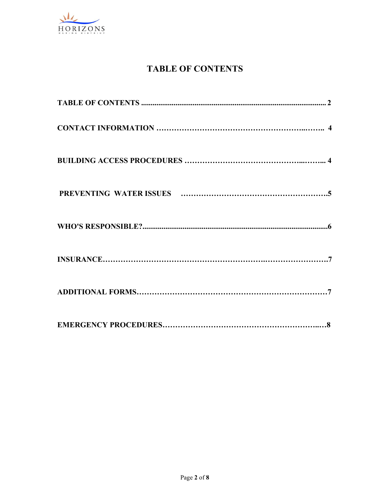

# TABLE OF CONTENTS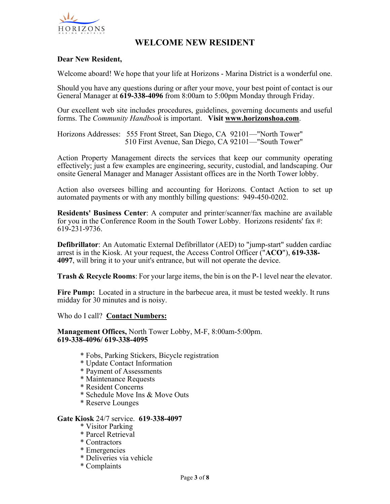

## WELCOME NEW RESIDENT

## Dear New Resident,

Welcome aboard! We hope that your life at Horizons - Marina District is a wonderful one.

Should you have any questions during or after your move, your best point of contact is our General Manager at 619-338-4096 from 8:00am to 5:00pm Monday through Friday.

Our excellent web site includes procedures, guidelines, governing documents and useful

forms. The *Community Handbook* is important. Visit **www.horizonshoa.com**.<br>Horizons Addresses: 555 Front Street, San Diego, CA 92101—"North Tower" 510 First Avenue, San Diego, CA 92101—"South Tower"

Action Property Management directs the services that keep our community operating effectively; just a few examples are engineering, security, custodial, and landscaping. Our onsite General Manager and Manager Assistant offices are in the North Tower lobby.

Action also oversees billing and accounting for Horizons. Contact Action to set up automated payments or with any monthly billing questions: 949-450-0202.

Residents' Business Center: A computer and printer/scanner/fax machine are available for you in the Conference Room in the South Tower Lobby. Horizons residents' fax #: 619-231-9736.

Defibrillator: An Automatic External Defibrillator (AED) to "jump-start" sudden cardiac arrest is in the Kiosk. At your request, the Access Control Officer ("ACO"), 619-338- 4097, will bring it to your unit's entrance, but will not operate the device.

Trash & Recycle Rooms: For your large items, the bin is on the P-1 level near the elevator.

Fire Pump: Located in a structure in the barbecue area, it must be tested weekly. It runs midday for 30 minutes and is noisy.

Who do I call? Contact Numbers:

Management Offices, North Tower Lobby, M-F, 8:00am-5:00pm. 619-338-4096/ 619-338-4095

- \* Fobs, Parking Stickers, Bicycle registration
- \* Update Contact Information
- \* Payment of Assessments
- \* Maintenance Requests
- \* Resident Concerns
- \* Schedule Move Ins & Move Outs
- \* Reserve Lounges

#### Gate Kiosk 24/7 service. 619-338-4097

- \* Visitor Parking
- \* Parcel Retrieval
- \* Contractors
- \* Emergencies
- \* Deliveries via vehicle
- \* Complaints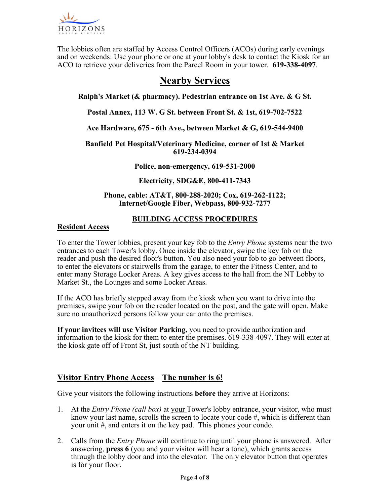

The lobbies often are staffed by Access Control Officers (ACOs) during early evenings and on weekends: Use your phone or one at your lobby's desk to contact the Kiosk for an ACO to retrieve your deliveries from the Parcel Room in your tower. 619-338-4097.

# Nearby Services

Ralph's Market (& pharmacy). Pedestrian entrance on 1st Ave. & G St.

Postal Annex, 113 W. G St. between Front St. & 1st, 619-702-7522

Ace Hardware, 675 - 6th Ave., between Market & G, 619-544-9400

Banfield Pet Hospital/Veterinary Medicine, corner of 1st & Market 619-234-0394

Police, non-emergency, 619-531-2000

Electricity, SDG&E, 800-411-7343

Phone, cable: AT&T, 800-288-2020; Cox, 619-262-1122; Internet/Google Fiber, Webpass, 800-932-7277

## BUILDING ACCESS PROCEDURES

### Resident Access

To enter the Tower lobbies, present your key fob to the *Entry Phone* systems near the two entrances to each Tower's lobby. Once inside the elevator, swipe the key fob on the reader and push the desired floor's button. You also need your fob to go between floors, to enter the elevators or stairwells from the garage, to enter the Fitness Center, and to enter many Storage Locker Areas. A key gives access to the hall from the NT Lobby to Market St., the Lounges and some Locker Areas.

If the ACO has briefly stepped away from the kiosk when you want to drive into the premises, swipe your fob on the reader located on the post, and the gate will open. Make sure no unauthorized persons follow your car onto the premises.

If your invitees will use Visitor Parking, you need to provide authorization and information to the kiosk for them to enter the premises. 619-338-4097. They will enter at the kiosk gate off of Front St, just south of the NT building.

## Visitor Entry Phone Access – The number is 6!

Give your visitors the following instructions **before** they arrive at Horizons:

- 1. At the *Entry Phone (call box)* at your Tower's lobby entrance, your visitor, who must know your last name, scrolls the screen to locate your code  $\#$ , which is different than your unit #, and enters it on the key pad. This phones your condo.
- 2. Calls from the *Entry Phone* will continue to ring until your phone is answered. After answering, press 6 (you and your visitor will hear a tone), which grants access through the lobby door and into the elevator. The only elevator button that operates is for your floor.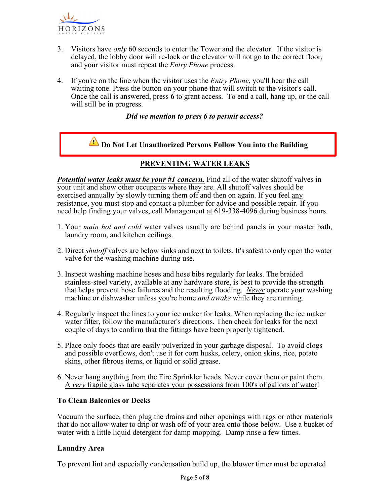

- 3. Visitors have *only* 60 seconds to enter the Tower and the elevator. If the visitor is delayed, the lobby door will re-lock or the elevator will not go to the correct floor, and your visitor must repeat the Entry Phone process.
- 4. If you're on the line when the visitor uses the *Entry Phone*, you'll hear the call waiting tone. Press the button on your phone that will switch to the visitor's call. Once the call is answered, press 6 to grant access. To end a call, hang up, or the call will still be in progress.

### Did we mention to press 6 to permit access?



## PREVENTING WATER LEAKS

**Potential water leaks must be your #1 concern.** Find all of the water shutoff valves in your unit and show other occupants where they are. All shutoff valves should be exercised annually by slowly turning them off and then on again. If you feel any resistance, you must stop and contact a plumber for advice and possible repair. If you need help finding your valves, call Management at 619-338-4096 during business hours.

- 1. Your main hot and cold water valves usually are behind panels in your master bath, laundry room, and kitchen ceilings.
- 2. Direct shutoff valves are below sinks and next to toilets. It's safest to only open the water valve for the washing machine during use.
- 3. Inspect washing machine hoses and hose bibs regularly for leaks. The braided stainless-steel variety, available at any hardware store, is best to provide the strength that helps prevent hose failures and the resulting flooding. Never operate your washing machine or dishwasher unless you're home *and awake* while they are running.
- 4. Regularly inspect the lines to your ice maker for leaks. When replacing the ice maker water filter, follow the manufacturer's directions. Then check for leaks for the next couple of days to confirm that the fittings have been properly tightened.
- 5. Place only foods that are easily pulverized in your garbage disposal. To avoid clogs and possible overflows, don't use it for corn husks, celery, onion skins, rice, potato skins, other fibrous items, or liquid or solid grease.
- 6. Never hang anything from the Fire Sprinkler heads. Never cover them or paint them. A very fragile glass tube separates your possessions from 100's of gallons of water!

## To Clean Balconies or Decks

Vacuum the surface, then plug the drains and other openings with rags or other materials that do not allow water to drip or wash off of your area onto those below. Use a bucket of water with a little liquid detergent for damp mopping. Damp rinse a few times.

## Laundry Area

To prevent lint and especially condensation build up, the blower timer must be operated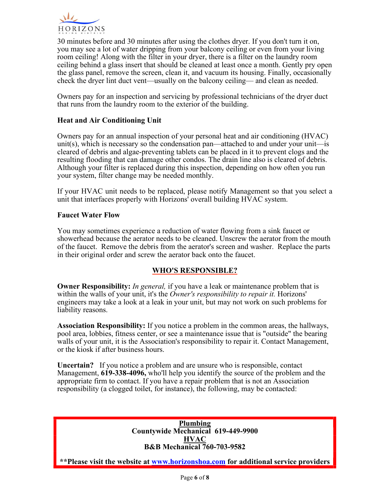

30 minutes before and 30 minutes after using the clothes dryer. If you don't turn it on, you may see a lot of water dripping from your balcony ceiling or even from your living room ceiling! Along with the filter in your dryer, there is a filter on the laundry room ceiling behind a glass insert that should be cleaned at least once a month. Gently pry open the glass panel, remove the screen, clean it, and vacuum its housing. Finally, occasionally check the dryer lint duct vent—usually on the balcony ceiling— and clean as needed.

Owners pay for an inspection and servicing by professional technicians of the dryer duct that runs from the laundry room to the exterior of the building.

## Heat and Air Conditioning Unit

Owners pay for an annual inspection of your personal heat and air conditioning (HVAC) unit(s), which is necessary so the condensation pan—attached to and under your unit—is cleared of debris and algae-preventing tablets can be placed in it to prevent clogs and the resulting flooding that can damage other condos. The drain line also is cleared of debris. Although your filter is replaced during this inspection, depending on how often you run your system, filter change may be needed monthly.

If your HVAC unit needs to be replaced, please notify Management so that you select a unit that interfaces properly with Horizons' overall building HVAC system.

### Faucet Water Flow

You may sometimes experience a reduction of water flowing from a sink faucet or showerhead because the aerator needs to be cleaned. Unscrew the aerator from the mouth of the faucet. Remove the debris from the aerator's screen and washer. Replace the parts in their original order and screw the aerator back onto the faucet.

## WHO'S RESPONSIBLE?

**Owner Responsibility:** In general, if you have a leak or maintenance problem that is within the walls of your unit, it's the Owner's responsibility to repair it. Horizons' engineers may take a look at a leak in your unit, but may not work on such problems for liability reasons.

Association Responsibility: If you notice a problem in the common areas, the hallways, pool area, lobbies, fitness center, or see a maintenance issue that is "outside" the bearing walls of your unit, it is the Association's responsibility to repair it. Contact Management, or the kiosk if after business hours.

Uncertain? If you notice a problem and are unsure who is responsible, contact Management, 619-338-4096, who'll help you identify the source of the problem and the appropriate firm to contact. If you have a repair problem that is not an Association responsibility (a clogged toilet, for instance), the following, may be contacted:

> Plumbing Countywide Mechanical 619-449-9900 **HVAC** B&B Mechanical 760-703-9582

\*\*Please visit the website at www.horizonshoa.com for additional service providers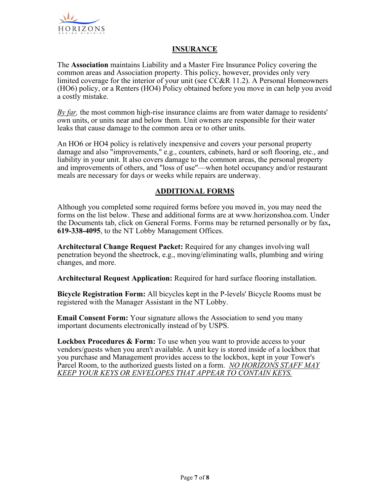

## **INSURANCE**

The Association maintains Liability and a Master Fire Insurance Policy covering the common areas and Association property. This policy, however, provides only very limited coverage for the interior of your unit (see CC&R 11.2). A Personal Homeowners (HO6) policy, or a Renters (HO4) Policy obtained before you move in can help you avoid a costly mistake.

By far, the most common high-rise insurance claims are from water damage to residents' own units, or units near and below them. Unit owners are responsible for their water leaks that cause damage to the common area or to other units.

An HO6 or HO4 policy is relatively inexpensive and covers your personal property damage and also "improvements," e.g., counters, cabinets, hard or soft flooring, etc., and liability in your unit. It also covers damage to the common areas, the personal property and improvements of others, and "loss of use"—when hotel occupancy and/or restaurant meals are necessary for days or weeks while repairs are underway.

## ADDITIONAL FORMS

Although you completed some required forms before you moved in, you may need the forms on the list below. These and additional forms are at www.horizonshoa.com. Under the Documents tab, click on General Forms. Forms may be returned personally or by fax, 619-338-4095, to the NT Lobby Management Offices.

Architectural Change Request Packet: Required for any changes involving wall penetration beyond the sheetrock, e.g., moving/eliminating walls, plumbing and wiring changes, and more.

Architectural Request Application: Required for hard surface flooring installation.

Bicycle Registration Form: All bicycles kept in the P-levels' Bicycle Rooms must be registered with the Manager Assistant in the NT Lobby.

Email Consent Form: Your signature allows the Association to send you many important documents electronically instead of by USPS.

**Lockbox Procedures & Form:** To use when you want to provide access to your vendors/guests when you aren't available. A unit key is stored inside of a lockbox that you purchase and Management provides access to the lockbox, kept in your Tower's Parcel Room, to the authorized guests listed on a form. NO HORIZONS STAFF MAY KEEP YOUR KEYS OR ENVELOPES THAT APPEAR TO CONTAIN KEYS.